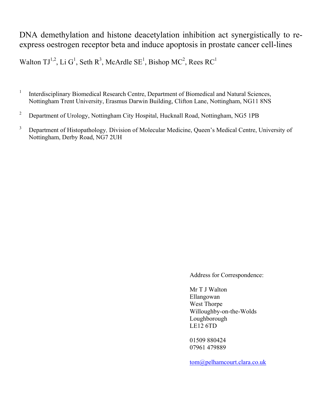# DNA demethylation and histone deacetylation inhibition act synergistically to reexpress oestrogen receptor beta and induce apoptosis in prostate cancer cell-lines

Walton  $TJ^{1,2}$ , Li G<sup>1</sup>, Seth R<sup>3</sup>, McArdle SE<sup>1</sup>, Bishop MC<sup>2</sup>, Rees RC<sup>1</sup>

- 1 Interdisciplinary Biomedical Research Centre, Department of Biomedical and Natural Sciences, Nottingham Trent University, Erasmus Darwin Building, Clifton Lane, Nottingham, NG11 8NS
- 2 Department of Urology, Nottingham City Hospital, Hucknall Road, Nottingham, NG5 1PB
- 3 Department of Histopathology, Division of Molecular Medicine, Queen's Medical Centre, University of Nottingham, Derby Road, NG7 2UH

Address for Correspondence:

 Mr T J Walton Ellangowan West Thorpe Willoughby-on-the-Wolds Loughborough LE12 6TD

 01509 880424 07961 479889

[tom@pelhamcourt.clara.co.uk](mailto:tom@pelhamcourt.clara.co.uk)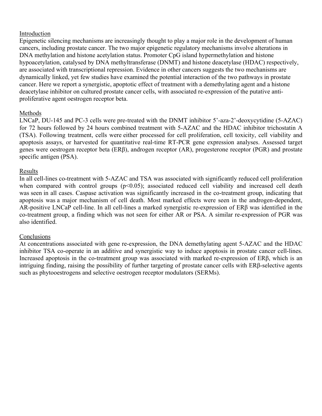## Introduction

Epigenetic silencing mechanisms are increasingly thought to play a major role in the development of human cancers, including prostate cancer. The two major epigenetic regulatory mechanisms involve alterations in DNA methylation and histone acetylation status. Promoter CpG island hypermethylation and histone hypoacetylation, catalysed by DNA methyltransferase (DNMT) and histone deacetylase (HDAC) respectively, are associated with transcriptional repression. Evidence in other cancers suggests the two mechanisms are dynamically linked, yet few studies have examined the potential interaction of the two pathways in prostate cancer. Here we report a synergistic, apoptotic effect of treatment with a demethylating agent and a histone deacetylase inhibitor on cultured prostate cancer cells, with associated re-expression of the putative antiproliferative agent oestrogen receptor beta.

## Methods

LNCaP, DU-145 and PC-3 cells were pre-treated with the DNMT inhibitor 5'-aza-2'-deoxycytidine (5-AZAC) for 72 hours followed by 24 hours combined treatment with 5-AZAC and the HDAC inhibitor trichostatin A (TSA). Following treatment, cells were either processed for cell proliferation, cell toxicity, cell viability and apoptosis assays, or harvested for quantitative real-time RT-PCR gene expression analyses. Assessed target genes were oestrogen receptor beta (ERβ), androgen receptor (AR), progesterone receptor (PGR) and prostate specific antigen (PSA).

## Results

In all cell-lines co-treatment with 5-AZAC and TSA was associated with significantly reduced cell proliferation when compared with control groups  $(p<0.05)$ ; associated reduced cell viability and increased cell death was seen in all cases. Caspase activation was significantly increased in the co-treatment group, indicating that apoptosis was a major mechanism of cell death. Most marked effects were seen in the androgen-dependent, AR-positive LNCaP cell-line. In all cell-lines a marked synergistic re-expression of ERβ was identified in the co-treatment group, a finding which was not seen for either AR or PSA. A similar re-expression of PGR was also identified.

## **Conclusions**

At concentrations associated with gene re-expression, the DNA demethylating agent 5-AZAC and the HDAC inhibitor TSA co-operate in an additive and synergistic way to induce apoptosis in prostate cancer cell-lines. Increased apoptosis in the co-treatment group was associated with marked re-expression of ERβ, which is an intriguing finding, raising the possibility of further targeting of prostate cancer cells with ERβ-selective agents such as phytooestrogens and selective oestrogen receptor modulators (SERMs).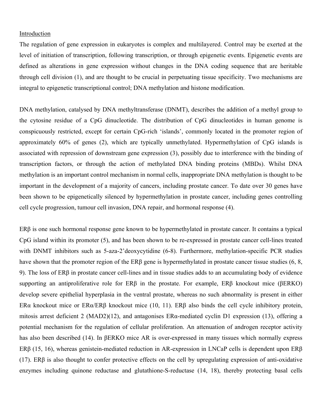#### Introduction

The regulation of gene expression in eukaryotes is complex and multilayered. Control may be exerted at the level of initiation of transcription, following transcription, or through epigenetic events. Epigenetic events are defined as alterations in gene expression without changes in the DNA coding sequence that are heritable through cell division (1), and are thought to be crucial in perpetuating tissue specificity. Two mechanisms are integral to epigenetic transcriptional control; DNA methylation and histone modification.

DNA methylation, catalysed by DNA methyltransferase (DNMT), describes the addition of a methyl group to the cytosine residue of a CpG dinucleotide. The distribution of CpG dinucleotides in human genome is conspicuously restricted, except for certain CpG-rich 'islands', commonly located in the promoter region of approximately 60% of genes (2), which are typically unmethylated. Hypermethylation of CpG islands is associated with repression of downstream gene expression (3), possibly due to interference with the binding of transcription factors, or through the action of methylated DNA binding proteins (MBDs). Whilst DNA methylation is an important control mechanism in normal cells, inappropriate DNA methylation is thought to be important in the development of a majority of cancers, including prostate cancer. To date over 30 genes have been shown to be epigenetically silenced by hypermethylation in prostate cancer, including genes controlling cell cycle progression, tumour cell invasion, DNA repair, and hormonal response (4).

ERβ is one such hormonal response gene known to be hypermethylated in prostate cancer. It contains a typical CpG island within its promoter (5), and has been shown to be re-expressed in prostate cancer cell-lines treated with DNMT inhibitors such as 5-aza-2'deoxycytidine (6-8). Furthermore, methylation-specific PCR studies have shown that the promoter region of the ERβ gene is hypermethylated in prostate cancer tissue studies (6, 8, 9). The loss of ERβ in prostate cancer cell-lines and in tissue studies adds to an accumulating body of evidence supporting an antiproliferative role for ERβ in the prostate. For example, ERβ knockout mice (βERKO) develop severe epithelial hyperplasia in the ventral prostate, whereas no such abnormality is present in either ERα knockout mice or ERα/ERβ knockout mice (10, 11). ERβ also binds the cell cycle inhibitory protein, mitosis arrest deficient 2 (MAD2)(12), and antagonises ERα-mediated cyclin D1 expression (13), offering a potential mechanism for the regulation of cellular proliferation. An attenuation of androgen receptor activity has also been described (14). In βERKO mice AR is over-expressed in many tissues which normally express ERβ (15, 16), whereas genistein-mediated reduction in AR-expression in LNCaP cells is dependent upon ERβ (17). ERβ is also thought to confer protective effects on the cell by upregulating expression of anti-oxidative enzymes including quinone reductase and glutathione-S-reductase (14, 18), thereby protecting basal cells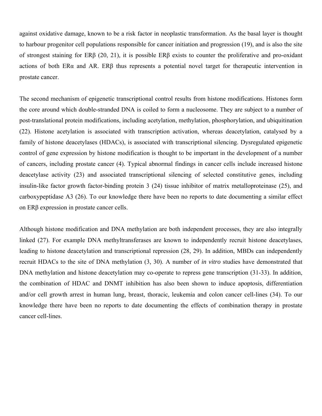against oxidative damage, known to be a risk factor in neoplastic transformation. As the basal layer is thought to harbour progenitor cell populations responsible for cancer initiation and progression (19), and is also the site of strongest staining for ERβ (20, 21), it is possible ERβ exists to counter the proliferative and pro-oxidant actions of both ERα and AR. ERβ thus represents a potential novel target for therapeutic intervention in prostate cancer.

The second mechanism of epigenetic transcriptional control results from histone modifications. Histones form the core around which double-stranded DNA is coiled to form a nucleosome. They are subject to a number of post-translational protein modifications, including acetylation, methylation, phosphorylation, and ubiquitination (22). Histone acetylation is associated with transcription activation, whereas deacetylation, catalysed by a family of histone deacetylases (HDACs), is associated with transcriptional silencing. Dysregulated epigenetic control of gene expression by histone modification is thought to be important in the development of a number of cancers, including prostate cancer (4). Typical abnormal findings in cancer cells include increased histone deacetylase activity (23) and associated transcriptional silencing of selected constitutive genes, including insulin-like factor growth factor-binding protein 3 (24) tissue inhibitor of matrix metalloproteinase (25), and carboxypeptidase A3 (26). To our knowledge there have been no reports to date documenting a similar effect on ERβ expression in prostate cancer cells.

Although histone modification and DNA methylation are both independent processes, they are also integrally linked (27). For example DNA methyltransferases are known to independently recruit histone deacetylases, leading to histone deacetylation and transcriptional repression (28, 29). In addition, MBDs can independently recruit HDACs to the site of DNA methylation (3, 30). A number of *in vitro* studies have demonstrated that DNA methylation and histone deacetylation may co-operate to repress gene transcription (31-33). In addition, the combination of HDAC and DNMT inhibition has also been shown to induce apoptosis, differentiation and/or cell growth arrest in human lung, breast, thoracic, leukemia and colon cancer cell-lines (34). To our knowledge there have been no reports to date documenting the effects of combination therapy in prostate cancer cell-lines.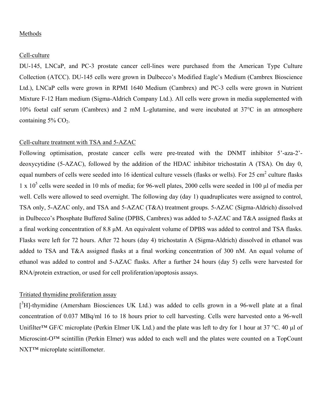#### Methods

#### Cell-culture

DU-145, LNCaP, and PC-3 prostate cancer cell-lines were purchased from the American Type Culture Collection (ATCC). DU-145 cells were grown in Dulbecco's Modified Eagle's Medium (Cambrex Bioscience Ltd.), LNCaP cells were grown in RPMI 1640 Medium (Cambrex) and PC-3 cells were grown in Nutrient Mixture F-12 Ham medium (Sigma-Aldrich Company Ltd.). All cells were grown in media supplemented with 10% foetal calf serum (Cambrex) and 2 mM L-glutamine, and were incubated at 37°C in an atmosphere containing  $5\%$  CO<sub>2</sub>.

### Cell-culture treatment with TSA and 5-AZAC

Following optimisation, prostate cancer cells were pre-treated with the DNMT inhibitor 5'-aza-2' deoxycytidine (5-AZAC), followed by the addition of the HDAC inhibitor trichostatin A (TSA). On day 0, equal numbers of cells were seeded into 16 identical culture vessels (flasks or wells). For 25 cm<sup>2</sup> culture flasks  $1 \times 10^5$  cells were seeded in 10 mls of media; for 96-well plates, 2000 cells were seeded in 100 µl of media per well. Cells were allowed to seed overnight. The following day (day 1) quadruplicates were assigned to control, TSA only, 5-AZAC only, and TSA and 5-AZAC (T&A) treatment groups. 5-AZAC (Sigma-Aldrich) dissolved in Dulbecco's Phosphate Buffered Saline (DPBS, Cambrex) was added to 5-AZAC and T&A assigned flasks at a final working concentration of 8.8 μM. An equivalent volume of DPBS was added to control and TSA flasks. Flasks were left for 72 hours. After 72 hours (day 4) trichostatin A (Sigma-Aldrich) dissolved in ethanol was added to TSA and T&A assigned flasks at a final working concentration of 300 nM. An equal volume of ethanol was added to control and 5-AZAC flasks. After a further 24 hours (day 5) cells were harvested for RNA/protein extraction, or used for cell proliferation/apoptosis assays.

### Tritiated thymidine proliferation assay

[<sup>3</sup>H]-thymidine (Amersham Biosciences UK Ltd.) was added to cells grown in a 96-well plate at a final concentration of 0.037 MBq/ml 16 to 18 hours prior to cell harvesting. Cells were harvested onto a 96-well Unifilter™ GF/C microplate (Perkin Elmer UK Ltd.) and the plate was left to dry for 1 hour at 37 °C. 40 μl of Microscint-O<sup>™</sup> scintillin (Perkin Elmer) was added to each well and the plates were counted on a TopCount NXT™ microplate scintillometer.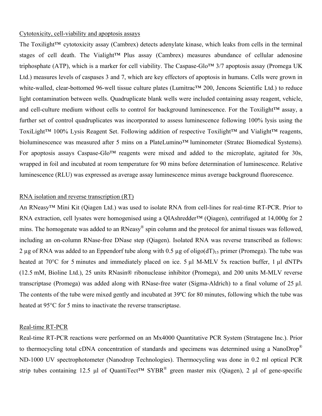#### Cytotoxicity, cell-viability and apoptosis assays

The Toxilight<sup>™</sup> cytotoxicity assay (Cambrex) detects adenylate kinase, which leaks from cells in the terminal stages of cell death. The Vialight™ Plus assay (Cambrex) measures abundance of cellular adenosine triphosphate (ATP), which is a marker for cell viability. The Caspase-Glo™ 3/7 apoptosis assay (Promega UK Ltd.) measures levels of caspases 3 and 7, which are key effectors of apoptosis in humans. Cells were grown in white-walled, clear-bottomed 96-well tissue culture plates (Lumitrac™ 200, Jencons Scientific Ltd.) to reduce light contamination between wells. Quadruplicate blank wells were included containing assay reagent, vehicle, and cell-culture medium without cells to control for background luminescence. For the Toxilight™ assay, a further set of control quadruplicates was incorporated to assess luminescence following 100% lysis using the ToxiLight™ 100% Lysis Reagent Set. Following addition of respective Toxilight™ and Vialight™ reagents, bioluminescence was measured after 5 mins on a PlateLumino™ luminometer (Stratec Biomedical Systems). For apoptosis assays Caspase-Glo™ reagents were mixed and added to the microplate, agitated for 30s, wrapped in foil and incubated at room temperature for 90 mins before determination of luminescence. Relative luminescence (RLU) was expressed as average assay luminescence minus average background fluorescence.

#### RNA isolation and reverse transcription (RT)

An RNeasy<sup>™</sup> Mini Kit (Qiagen Ltd.) was used to isolate RNA from cell-lines for real-time RT-PCR. Prior to RNA extraction, cell lysates were homogenised using a QIAshredder™ (Qiagen), centrifuged at 14,000g for 2 mins. The homogenate was added to an RNeasy<sup>®</sup> spin column and the protocol for animal tissues was followed, including an on-column RNase-free DNase step (Qiagen). Isolated RNA was reverse transcribed as follows: 2 µg of RNA was added to an Eppendorf tube along with 0.5 µg of oligo( $dT$ )<sub>15</sub> primer (Promega). The tube was heated at 70°C for 5 minutes and immediately placed on ice. 5 µl M-MLV 5x reaction buffer, 1 µl dNTPs (12.5 mM, Bioline Ltd.), 25 units RNasin® ribonuclease inhibitor (Promega), and 200 units M-MLV reverse transcriptase (Promega) was added along with RNase-free water (Sigma-Aldrich) to a final volume of 25 µl. The contents of the tube were mixed gently and incubated at 39ºC for 80 minutes, following which the tube was heated at 95°C for 5 mins to inactivate the reverse transcriptase.

#### Real-time RT-PCR

Real-time RT-PCR reactions were performed on an Mx4000 Quantitative PCR System (Stratagene Inc.). Prior to thermocycling total cDNA concentration of standards and specimens was determined using a NanoDrop® ND-1000 UV spectrophotometer (Nanodrop Technologies). Thermocycling was done in 0.2 ml optical PCR strip tubes containing 12.5 μl of QuantiTect™ SYBR<sup>®</sup> green master mix (Qiagen), 2 μl of gene-specific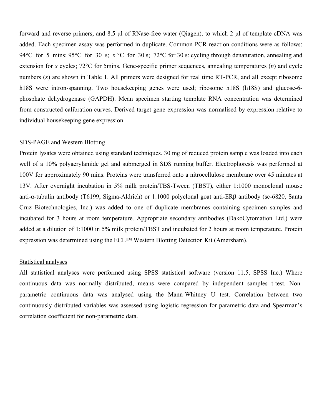forward and reverse primers, and 8.5 μl of RNase-free water (Qiagen), to which 2 μl of template cDNA was added. Each specimen assay was performed in duplicate. Common PCR reaction conditions were as follows: 94°C for 5 mins; 95°C for 30 s; *n* °C for 30 s; 72°C for 30 s: cycling through denaturation, annealing and extension for *x* cycles; 72°C for 5mins. Gene-specific primer sequences, annealing temperatures (*n*) and cycle numbers (*x*) are shown in Table 1. All primers were designed for real time RT-PCR, and all except ribosome h18S were intron-spanning. Two housekeeping genes were used; ribosome h18S (h18S) and glucose-6 phosphate dehydrogenase (GAPDH). Mean specimen starting template RNA concentration was determined from constructed calibration curves. Derived target gene expression was normalised by expression relative to individual housekeeping gene expression.

#### SDS-PAGE and Western Blotting

Protein lysates were obtained using standard techniques. 30 mg of reduced protein sample was loaded into each well of a 10% polyacrylamide gel and submerged in SDS running buffer. Electrophoresis was performed at 100V for approximately 90 mins. Proteins were transferred onto a nitrocellulose membrane over 45 minutes at 13V. After overnight incubation in 5% milk protein/TBS-Tween (TBST), either 1:1000 monoclonal mouse anti-α-tubulin antibody (T6199, Sigma-Aldrich) or 1:1000 polyclonal goat anti-ERβ antibody (sc-6820, Santa Cruz Biotechnologies, Inc.) was added to one of duplicate membranes containing specimen samples and incubated for 3 hours at room temperature. Appropriate secondary antibodies (DakoCytomation Ltd.) were added at a dilution of 1:1000 in 5% milk protein/TBST and incubated for 2 hours at room temperature. Protein expression was determined using the ECL™ Western Blotting Detection Kit (Amersham).

#### Statistical analyses

All statistical analyses were performed using SPSS statistical software (version 11.5, SPSS Inc.) Where continuous data was normally distributed, means were compared by independent samples t-test. Nonparametric continuous data was analysed using the Mann-Whitney U test. Correlation between two continuously distributed variables was assessed using logistic regression for parametric data and Spearman's correlation coefficient for non-parametric data.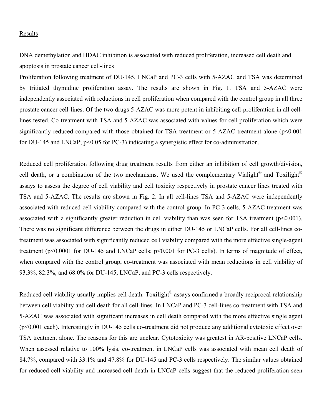### Results

# DNA demethylation and HDAC inhibition is associated with reduced proliferation, increased cell death and apoptosis in prostate cancer cell-lines

Proliferation following treatment of DU-145, LNCaP and PC-3 cells with 5-AZAC and TSA was determined by tritiated thymidine proliferation assay. The results are shown in Fig. 1. TSA and 5-AZAC were independently associated with reductions in cell proliferation when compared with the control group in all three prostate cancer cell-lines. Of the two drugs 5-AZAC was more potent in inhibiting cell-proliferation in all celllines tested. Co-treatment with TSA and 5-AZAC was associated with values for cell proliferation which were significantly reduced compared with those obtained for TSA treatment or 5-AZAC treatment alone (p<0.001 for DU-145 and LNCaP;  $p<0.05$  for PC-3) indicating a synergistic effect for co-administration.

Reduced cell proliferation following drug treatment results from either an inhibition of cell growth/division, cell death, or a combination of the two mechanisms. We used the complementary Vialight<sup>®</sup> and Toxilight<sup>®</sup> assays to assess the degree of cell viability and cell toxicity respectively in prostate cancer lines treated with TSA and 5-AZAC. The results are shown in Fig. 2. In all cell-lines TSA and 5-AZAC were independently associated with reduced cell viability compared with the control group. In PC-3 cells, 5-AZAC treatment was associated with a significantly greater reduction in cell viability than was seen for TSA treatment (p<0.001). There was no significant difference between the drugs in either DU-145 or LNCaP cells. For all cell-lines cotreatment was associated with significantly reduced cell viability compared with the more effective single-agent treatment (p<0.0001 for DU-145 and LNCaP cells; p<0.001 for PC-3 cells). In terms of magnitude of effect, when compared with the control group, co-treatment was associated with mean reductions in cell viability of 93.3%, 82.3%, and 68.0% for DU-145, LNCaP, and PC-3 cells respectively.

Reduced cell viability usually implies cell death. Toxilight<sup>®</sup> assays confirmed a broadly reciprocal relationship between cell viability and cell death for all cell-lines. In LNCaP and PC-3 cell-lines co-treatment with TSA and 5-AZAC was associated with significant increases in cell death compared with the more effective single agent (p<0.001 each). Interestingly in DU-145 cells co-treatment did not produce any additional cytotoxic effect over TSA treatment alone. The reasons for this are unclear. Cytotoxicity was greatest in AR-positive LNCaP cells. When assessed relative to 100% lysis, co-treatment in LNCaP cells was associated with mean cell death of 84.7%, compared with 33.1% and 47.8% for DU-145 and PC-3 cells respectively. The similar values obtained for reduced cell viability and increased cell death in LNCaP cells suggest that the reduced proliferation seen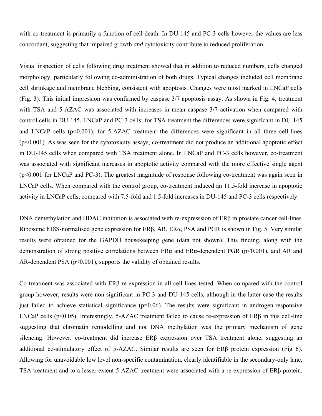with co-treatment is primarily a function of cell-death. In DU-145 and PC-3 cells however the values are less concordant, suggesting that impaired growth *and* cytotoxicity contribute to reduced proliferation.

Visual inspection of cells following drug treatment showed that in addition to reduced numbers, cells changed morphology, particularly following co-administration of both drugs. Typical changes included cell membrane cell shrinkage and membrane blebbing, consistent with apoptosis. Changes were most marked in LNCaP cells (Fig. 3). This initial impression was confirmed by caspase 3/7 apoptosis assay. As shown in Fig. 4, treatment with TSA and 5-AZAC was associated with increases in mean caspase 3/7 activation when compared with control cells in DU-145, LNCaP and PC-3 cells; for TSA treatment the differences were significant in DU-145 and LNCaP cells  $(p<0.001)$ ; for 5-AZAC treatment the differences were significant in all three cell-lines (p<0.001). As was seen for the cytotoxicity assays, co-treatment did not produce an additional apoptotic effect in DU-145 cells when compared with TSA treatment alone. In LNCaP and PC-3 cells however, co-treatment was associated with significant increases in apoptotic activity compared with the more effective single agent (p<0.001 for LNCaP and PC-3). The greatest magnitude of response following co-treatment was again seen in LNCaP cells. When compared with the control group, co-treatment induced an 11.5-fold increase in apoptotic activity in LNCaP cells, compared with 7.5-fold and 1.5-fold increases in DU-145 and PC-3 cells respectively.

DNA demethylation and HDAC inhibition is associated with re-expresssion of ERβ in prostate cancer cell-lines Ribosome h18S-normalised gene expression for ERβ, AR, ERα, PSA and PGR is shown in Fig. 5. Very similar results were obtained for the GAPDH housekeeping gene (data not shown). This finding, along with the demonstration of strong positive correlations between ERα and ERα-dependent PGR (p<0.001), and AR and AR-dependent PSA  $(p<0.001)$ , supports the validity of obtained results.

Co-treatment was associated with ERβ re-expression in all cell-lines tested. When compared with the control group however, results were non-significant in PC-3 and DU-145 cells, although in the latter case the results just failed to achieve statistical significance  $(p=0.06)$ . The results were significant in androgen-responsive LNCaP cells (p<0.05). Interestingly, 5-AZAC treatment failed to cause re-expression of ERβ in this cell-line suggesting that chromatin remodelling and not DNA methylation was the primary mechanism of gene silencing. However, co-treatment did increase ERβ expression over TSA treatment alone, suggesting an additional co-stimulatory effect of 5-AZAC. Similar results are seen for ERβ protein expression (Fig 6). Allowing for unavoidable low level non-specific contamination, clearly identifiable in the secondary-only lane, TSA treatment and to a lesser extent 5-AZAC treatment were associated with a re-expression of ERβ protein.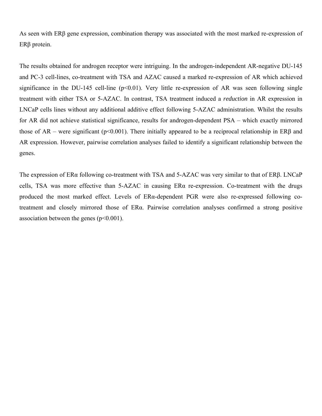As seen with ERβ gene expression, combination therapy was associated with the most marked re-expression of ERβ protein.

The results obtained for androgen receptor were intriguing. In the androgen-independent AR-negative DU-145 and PC-3 cell-lines, co-treatment with TSA and AZAC caused a marked re-expression of AR which achieved significance in the DU-145 cell-line ( $p<0.01$ ). Very little re-expression of AR was seen following single treatment with either TSA or 5-AZAC. In contrast, TSA treatment induced a *reduction* in AR expression in LNCaP cells lines without any additional additive effect following 5-AZAC administration. Whilst the results for AR did not achieve statistical significance, results for androgen-dependent PSA – which exactly mirrored those of AR – were significant (p<0.001). There initially appeared to be a reciprocal relationship in ER $\beta$  and AR expression. However, pairwise correlation analyses failed to identify a significant relationship between the genes.

The expression of ERα following co-treatment with TSA and 5-AZAC was very similar to that of ERβ. LNCaP cells, TSA was more effective than 5-AZAC in causing ERα re-expression. Co-treatment with the drugs produced the most marked effect. Levels of ERα-dependent PGR were also re-expressed following cotreatment and closely mirrored those of ERα. Pairwise correlation analyses confirmed a strong positive association between the genes  $(p<0.001)$ .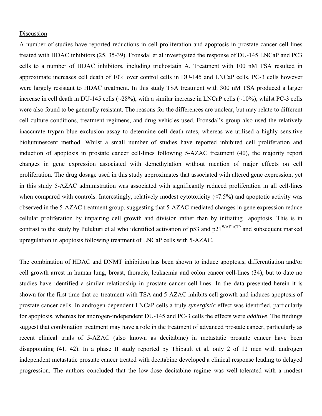#### Discussion

A number of studies have reported reductions in cell proliferation and apoptosis in prostate cancer cell-lines treated with HDAC inhibitors (25, 35-39). Fronsdal et al investigated the response of DU-145 LNCaP and PC3 cells to a number of HDAC inhibitors, including trichostatin A. Treatment with 100 nM TSA resulted in approximate increases cell death of 10% over control cells in DU-145 and LNCaP cells. PC-3 cells however were largely resistant to HDAC treatment. In this study TSA treatment with 300 nM TSA produced a larger increase in cell death in DU-145 cells (~28%), with a similar increase in LNCaP cells (~10%), whilst PC-3 cells were also found to be generally resistant. The reasons for the differences are unclear, but may relate to different cell-culture conditions, treatment regimens, and drug vehicles used. Fronsdal's group also used the relatively inaccurate trypan blue exclusion assay to determine cell death rates, whereas we utilised a highly sensitive bioluminescent method. Whilst a small number of studies have reported inhibited cell proliferation and induction of apoptosis in prostate cancer cell-lines following 5-AZAC treatment (40), the majority report changes in gene expression associated with demethylation without mention of major effects on cell proliferation. The drug dosage used in this study approximates that associated with altered gene expression, yet in this study 5-AZAC administration was associated with significantly reduced proliferation in all cell-lines when compared with controls. Interestingly, relatively modest cytotoxicity (<7.5%) and apoptotic activity was observed in the 5-AZAC treatment group, suggesting that 5-AZAC mediated changes in gene expression reduce cellular proliferation by impairing cell growth and division rather than by initiating apoptosis. This is in contrast to the study by Pulukuri et al who identified activation of  $p53$  and  $p21^{WAF1/CIP}$  and subsequent marked upregulation in apoptosis following treatment of LNCaP cells with 5-AZAC.

The combination of HDAC and DNMT inhibition has been shown to induce apoptosis, differentiation and/or cell growth arrest in human lung, breast, thoracic, leukaemia and colon cancer cell-lines (34), but to date no studies have identified a similar relationship in prostate cancer cell-lines. In the data presented herein it is shown for the first time that co-treatment with TSA and 5-AZAC inhibits cell growth and induces apoptosis of prostate cancer cells. In androgen-dependent LNCaP cells a truly *synergistic* effect was identified, particularly for apoptosis, whereas for androgen-independent DU-145 and PC-3 cells the effects were *additive*. The findings suggest that combination treatment may have a role in the treatment of advanced prostate cancer, particularly as recent clinical trials of 5-AZAC (also known as decitabine) in metastatic prostate cancer have been disappointing (41, 42). In a phase II study reported by Thibault et al, only 2 of 12 men with androgen independent metastatic prostate cancer treated with decitabine developed a clinical response leading to delayed progression. The authors concluded that the low-dose decitabine regime was well-tolerated with a modest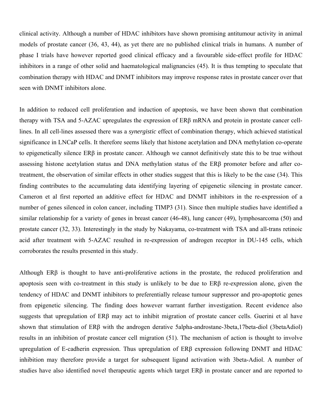clinical activity. Although a number of HDAC inhibitors have shown promising antitumour activity in animal models of prostate cancer (36, 43, 44), as yet there are no published clinical trials in humans. A number of phase I trials have however reported good clinical efficacy and a favourable side-effect profile for HDAC inhibitors in a range of other solid and haematological malignancies (45). It is thus tempting to speculate that combination therapy with HDAC and DNMT inhibitors may improve response rates in prostate cancer over that seen with DNMT inhibitors alone.

In addition to reduced cell proliferation and induction of apoptosis, we have been shown that combination therapy with TSA and 5-AZAC upregulates the expression of ERβ mRNA and protein in prostate cancer celllines. In all cell-lines assessed there was a *synergistic* effect of combination therapy, which achieved statistical significance in LNCaP cells. It therefore seems likely that histone acetylation and DNA methylation co-operate to epigenetically silence ERβ in prostate cancer. Although we cannot definitively state this to be true without assessing histone acetylation status and DNA methylation status of the ERβ promoter before and after cotreatment, the observation of similar effects in other studies suggest that this is likely to be the case (34). This finding contributes to the accumulating data identifying layering of epigenetic silencing in prostate cancer. Cameron et al first reported an additive effect for HDAC and DNMT inhibitors in the re-expression of a number of genes silenced in colon cancer, including TIMP3 (31). Since then multiple studies have identified a similar relationship for a variety of genes in breast cancer (46-48), lung cancer (49), lymphosarcoma (50) and prostate cancer (32, 33). Interestingly in the study by Nakayama, co-treatment with TSA and all-trans retinoic acid after treatment with 5-AZAC resulted in re-expression of androgen receptor in DU-145 cells, which corroborates the results presented in this study.

Although ERβ is thought to have anti-proliferative actions in the prostate, the reduced proliferation and apoptosis seen with co-treatment in this study is unlikely to be due to ERβ re-expression alone, given the tendency of HDAC and DNMT inhibitors to preferentially release tumour suppressor and pro-apoptotic genes from epigenetic silencing. The finding does however warrant further investigation. Recent evidence also suggests that upregulation of ERβ may act to inhibit migration of prostate cancer cells. Guerini et al have shown that stimulation of ERβ with the androgen derative 5alpha-androstane-3beta,17beta-diol (3betaAdiol) results in an inhibition of prostate cancer cell migration (51). The mechanism of action is thought to involve upregulation of E-cadherin expression. Thus upregulation of ERβ expression following DNMT and HDAC inhibition may therefore provide a target for subsequent ligand activation with 3beta-Adiol. A number of studies have also identified novel therapeutic agents which target ERβ in prostate cancer and are reported to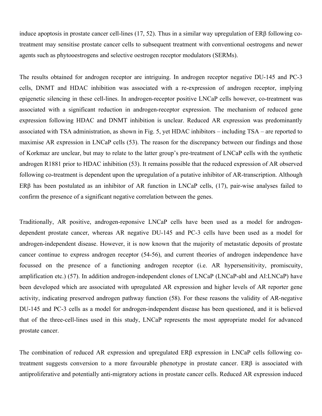induce apoptosis in prostate cancer cell-lines (17, 52). Thus in a similar way upregulation of ERβ following cotreatment may sensitise prostate cancer cells to subsequent treatment with conventional oestrogens and newer agents such as phytooestrogens and selective oestrogen receptor modulators (SERMs).

The results obtained for androgen receptor are intriguing. In androgen receptor negative DU-145 and PC-3 cells, DNMT and HDAC inhibition was associated with a re-expression of androgen receptor, implying epigenetic silencing in these cell-lines. In androgen-receptor positive LNCaP cells however, co-treatment was associated with a significant reduction in androgen-receptor expression. The mechanism of reduced gene expression following HDAC and DNMT inhibition is unclear. Reduced AR expression was predominantly associated with TSA administration, as shown in Fig. 5, yet HDAC inhibitors – including TSA – are reported to maximise AR expression in LNCaP cells (53). The reason for the discrepancy between our findings and those of Korkmaz are unclear, but may to relate to the latter group's pre-treatment of LNCaP cells with the synthetic androgen R1881 prior to HDAC inhibition (53). It remains possible that the reduced expression of AR observed following co-treatment is dependent upon the upregulation of a putative inhibitor of AR-transcription. Although ERβ has been postulated as an inhibitor of AR function in LNCaP cells, (17), pair-wise analyses failed to confirm the presence of a significant negative correlation between the genes.

Traditionally, AR positive, androgen-reponsive LNCaP cells have been used as a model for androgendependent prostate cancer, whereas AR negative DU-145 and PC-3 cells have been used as a model for androgen-independent disease. However, it is now known that the majority of metastatic deposits of prostate cancer continue to express androgen receptor (54-56), and current theories of androgen independence have focussed on the presence of a functioning androgen receptor (i.e. AR hypersensitivity, promiscuity, amplification etc.) (57). In addition androgen-independent clones of LNCaP (LNCaP-abl and AI:LNCaP) have been developed which are associated with upregulated AR expression and higher levels of AR reporter gene activity, indicating preserved androgen pathway function (58). For these reasons the validity of AR-negative DU-145 and PC-3 cells as a model for androgen-independent disease has been questioned, and it is believed that of the three-cell-lines used in this study, LNCaP represents the most appropriate model for advanced prostate cancer.

The combination of reduced AR expression and upregulated ERβ expression in LNCaP cells following cotreatment suggests conversion to a more favourable phenotype in prostate cancer. ERβ is associated with antiproliferative and potentially anti-migratory actions in prostate cancer cells. Reduced AR expression induced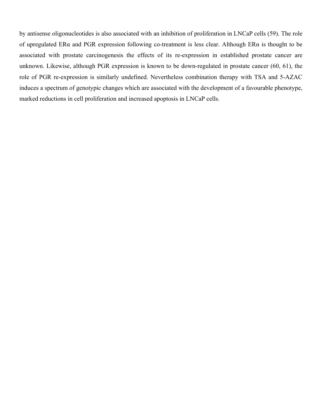by antisense oligonucleotides is also associated with an inhibition of proliferation in LNCaP cells (59). The role of upregulated ERα and PGR expression following co-treatment is less clear. Although ERα is thought to be associated with prostate carcinogenesis the effects of its re-expression in established prostate cancer are unknown. Likewise, although PGR expression is known to be down-regulated in prostate cancer (60, 61), the role of PGR re-expression is similarly undefined. Nevertheless combination therapy with TSA and 5-AZAC induces a spectrum of genotypic changes which are associated with the development of a favourable phenotype, marked reductions in cell proliferation and increased apoptosis in LNCaP cells.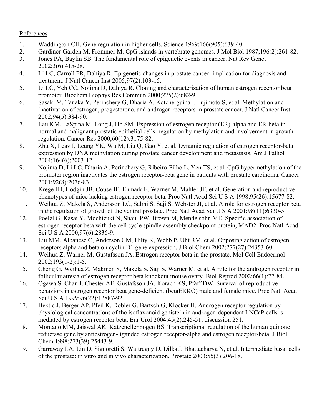## References

- 1. Waddington CH. Gene regulation in higher cells. Science 1969;166(905):639-40.
- 2. Gardiner-Garden M, Frommer M. CpG islands in vertebrate genomes. J Mol Biol 1987;196(2):261-82.
- 3. Jones PA, Baylin SB. The fundamental role of epigenetic events in cancer. Nat Rev Genet 2002;3(6):415-28.
- 4. Li LC, Carroll PR, Dahiya R. Epigenetic changes in prostate cancer: implication for diagnosis and treatment. J Natl Cancer Inst 2005;97(2):103-15.
- 5. Li LC, Yeh CC, Nojima D, Dahiya R. Cloning and characterization of human estrogen receptor beta promoter. Biochem Biophys Res Commun 2000;275(2):682-9.
- 6. Sasaki M, Tanaka Y, Perinchery G, Dharia A, Kotcherguina I, Fujimoto S, et al. Methylation and inactivation of estrogen, progesterone, and androgen receptors in prostate cancer. J Natl Cancer Inst 2002;94(5):384-90.
- 7. Lau KM, LaSpina M, Long J, Ho SM. Expression of estrogen receptor (ER)-alpha and ER-beta in normal and malignant prostatic epithelial cells: regulation by methylation and involvement in growth regulation. Cancer Res 2000;60(12):3175-82.
- 8. Zhu X, Leav I, Leung YK, Wu M, Liu Q, Gao Y, et al. Dynamic regulation of estrogen receptor-beta expression by DNA methylation during prostate cancer development and metastasis. Am J Pathol 2004;164(6):2003-12.
- 9. Nojima D, Li LC, Dharia A, Perinchery G, Ribeiro-Filho L, Yen TS, et al. CpG hypermethylation of the promoter region inactivates the estrogen receptor-beta gene in patients with prostate carcinoma. Cancer 2001;92(8):2076-83.
- 10. Krege JH, Hodgin JB, Couse JF, Enmark E, Warner M, Mahler JF, et al. Generation and reproductive phenotypes of mice lacking estrogen receptor beta. Proc Natl Acad Sci U S A 1998;95(26):15677-82.
- 11. Weihua Z, Makela S, Andersson LC, Salmi S, Saji S, Webster JI, et al. A role for estrogen receptor beta in the regulation of growth of the ventral prostate. Proc Natl Acad Sci U S A 2001;98(11):6330-5.
- 12. Poelzl G, Kasai Y, Mochizuki N, Shaul PW, Brown M, Mendelsohn ME. Specific association of estrogen receptor beta with the cell cycle spindle assembly checkpoint protein, MAD2. Proc Natl Acad Sci U S A 2000;97(6):2836-9.
- 13. Liu MM, Albanese C, Anderson CM, Hilty K, Webb P, Uht RM, et al. Opposing action of estrogen receptors alpha and beta on cyclin D1 gene expression. J Biol Chem 2002;277(27):24353-60.
- 14. Weihua Z, Warner M, Gustafsson JA. Estrogen receptor beta in the prostate. Mol Cell Endocrinol 2002;193(1-2):1-5.
- 15. Cheng G, Weihua Z, Makinen S, Makela S, Saji S, Warner M, et al. A role for the androgen receptor in follicular atresia of estrogen receptor beta knockout mouse ovary. Biol Reprod 2002;66(1):77-84.
- 16. Ogawa S, Chan J, Chester AE, Gustafsson JA, Korach KS, Pfaff DW. Survival of reproductive behaviors in estrogen receptor beta gene-deficient (betaERKO) male and female mice. Proc Natl Acad Sci U S A 1999:96(22):12887-92.
- 17. Bektic J, Berger AP, Pfeil K, Dobler G, Bartsch G, Klocker H. Androgen receptor regulation by physiological concentrations of the isoflavonoid genistein in androgen-dependent LNCaP cells is mediated by estrogen receptor beta. Eur Urol 2004;45(2):245-51; discussion 251.
- 18. Montano MM, Jaiswal AK, Katzenellenbogen BS. Transcriptional regulation of the human quinone reductase gene by antiestrogen-liganded estrogen receptor-alpha and estrogen receptor-beta. J Biol Chem 1998;273(39):25443-9.
- 19. Garraway LA, Lin D, Signoretti S, Waltregny D, Dilks J, Bhattacharya N, et al. Intermediate basal cells of the prostate: in vitro and in vivo characterization. Prostate 2003;55(3):206-18.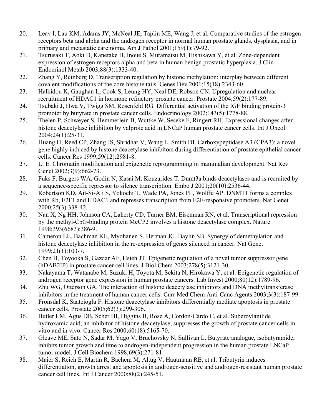- 20. Leav I, Lau KM, Adams JY, McNeal JE, Taplin ME, Wang J, et al. Comparative studies of the estrogen receptors beta and alpha and the androgen receptor in normal human prostate glands, dysplasia, and in primary and metastatic carcinoma. Am J Pathol 2001;159(1):79-92.
- 21. Tsurusaki T, Aoki D, Kanetake H, Inoue S, Muramatsu M, Hishikawa Y, et al. Zone-dependent expression of estrogen receptors alpha and beta in human benign prostatic hyperplasia. J Clin Endocrinol Metab 2003;88(3):1333-40.
- 22. Zhang Y, Reinberg D. Transcription regulation by histone methylation: interplay between different covalent modifications of the core histone tails. Genes Dev 2001;15(18):2343-60.
- 23. Halkidou K, Gaughan L, Cook S, Leung HY, Neal DE, Robson CN. Upregulation and nuclear recruitment of HDAC1 in hormone refractory prostate cancer. Prostate 2004;59(2):177-89.
- 24. Tsubaki J, Hwa V, Twigg SM, Rosenfeld RG. Differential activation of the IGF binding protein-3 promoter by butyrate in prostate cancer cells. Endocrinology 2002;143(5):1778-88.
- 25. Thelen P, Schweyer S, Hemmerlein B, Wuttke W, Seseke F, Ringert RH. Expressional changes after histone deacetylase inhibition by valproic acid in LNCaP human prostate cancer cells. Int J Oncol 2004;24(1):25-31.
- 26. Huang H, Reed CP, Zhang JS, Shridhar V, Wang L, Smith DI. Carboxypeptidase A3 (CPA3): a novel gene highly induced by histone deacetylase inhibitors during differentiation of prostate epithelial cancer cells. Cancer Res 1999;59(12):2981-8.
- 27. Li E. Chromatin modification and epigenetic reprogramming in mammalian development. Nat Rev Genet 2002;3(9):662-73.
- 28. Fuks F, Burgers WA, Godin N, Kasai M, Kouzarides T. Dnmt3a binds deacetylases and is recruited by a sequence-specific repressor to silence transcription. Embo J 2001;20(10):2536-44.
- 29. Robertson KD, Ait-Si-Ali S, Yokochi T, Wade PA, Jones PL, Wolffe AP. DNMT1 forms a complex with Rb, E2F1 and HDAC1 and represses transcription from E2F-responsive promoters. Nat Genet 2000;25(3):338-42.
- 30. Nan X, Ng HH, Johnson CA, Laherty CD, Turner BM, Eisenman RN, et al. Transcriptional repression by the methyl-CpG-binding protein MeCP2 involves a histone deacetylase complex. Nature 1998;393(6683):386-9.
- 31. Cameron EE, Bachman KE, Myohanen S, Herman JG, Baylin SB. Synergy of demethylation and histone deacetylase inhibition in the re-expression of genes silenced in cancer. Nat Genet 1999;21(1):103-7.
- 32. Chen H, Toyooka S, Gazdar AF, Hsieh JT. Epigenetic regulation of a novel tumor suppressor gene (hDAB2IP) in prostate cancer cell lines. J Biol Chem 2003;278(5):3121-30.
- 33. Nakayama T, Watanabe M, Suzuki H, Toyota M, Sekita N, Hirokawa Y, et al. Epigenetic regulation of androgen receptor gene expression in human prostate cancers. Lab Invest 2000;80(12):1789-96.
- 34. Zhu WG, Otterson GA. The interaction of histone deacetylase inhibitors and DNA methyltransferase inhibitors in the treatment of human cancer cells. Curr Med Chem Anti-Canc Agents 2003;3(3):187-99.
- 35. Fronsdal K, Saatcioglu F. Histone deacetylase inhibitors differentially mediate apoptosis in prostate cancer cells. Prostate 2005;62(3):299-306.
- 36. Butler LM, Agus DB, Scher HI, Higgins B, Rose A, Cordon-Cardo C, et al. Suberoylanilide hydroxamic acid, an inhibitor of histone deacetylase, suppresses the growth of prostate cancer cells in vitro and in vivo. Cancer Res 2000;60(18):5165-70.
- 37. Gleave ME, Sato N, Sadar M, Yago V, Bruchovsky N, Sullivan L. Butyrate analogue, isobutyramide, inhibits tumor growth and time to androgen-independent progression in the human prostate LNCaP tumor model. J Cell Biochem 1998;69(3):271-81.
- 38. Maier S, Reich E, Martin R, Bachem M, Altug V, Hautmann RE, et al. Tributyrin induces differentiation, growth arrest and apoptosis in androgen-sensitive and androgen-resistant human prostate cancer cell lines. Int J Cancer 2000;88(2):245-51.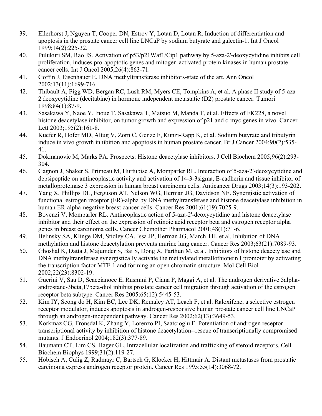- 39. Ellerhorst J, Nguyen T, Cooper DN, Estrov Y, Lotan D, Lotan R. Induction of differentiation and apoptosis in the prostate cancer cell line LNCaP by sodium butyrate and galectin-1. Int J Oncol 1999;14(2):225-32.
- 40. Pulukuri SM, Rao JS. Activation of p53/p21Waf1/Cip1 pathway by 5-aza-2'-deoxycytidine inhibits cell proliferation, induces pro-apoptotic genes and mitogen-activated protein kinases in human prostate cancer cells. Int J Oncol 2005;26(4):863-71.
- 41. Goffin J, Eisenhauer E. DNA methyltransferase inhibitors-state of the art. Ann Oncol 2002;13(11):1699-716.
- 42. Thibault A, Figg WD, Bergan RC, Lush RM, Myers CE, Tompkins A, et al. A phase II study of 5-aza-2'deoxycytidine (decitabine) in hormone independent metastatic (D2) prostate cancer. Tumori 1998;84(1):87-9.
- 43. Sasakawa Y, Naoe Y, Inoue T, Sasakawa T, Matsuo M, Manda T, et al. Effects of FK228, a novel histone deacetylase inhibitor, on tumor growth and expression of p21 and c-myc genes in vivo. Cancer Lett 2003;195(2):161-8.
- 44. Kuefer R, Hofer MD, Altug V, Zorn C, Genze F, Kunzi-Rapp K, et al. Sodium butyrate and tributyrin induce in vivo growth inhibition and apoptosis in human prostate cancer. Br J Cancer 2004;90(2):535- 41.
- 45. Dokmanovic M, Marks PA. Prospects: Histone deacetylase inhibitors. J Cell Biochem 2005;96(2):293- 304.
- 46. Gagnon J, Shaker S, Primeau M, Hurtubise A, Momparler RL. Interaction of 5-aza-2'-deoxycytidine and depsipeptide on antineoplastic activity and activation of 14-3-3sigma, E-cadherin and tissue inhibitor of metalloproteinase 3 expression in human breast carcinoma cells. Anticancer Drugs 2003;14(3):193-202.
- 47. Yang X, Phillips DL, Ferguson AT, Nelson WG, Herman JG, Davidson NE. Synergistic activation of functional estrogen receptor (ER)-alpha by DNA methyltransferase and histone deacetylase inhibition in human ER-alpha-negative breast cancer cells. Cancer Res 2001;61(19):7025-9.
- 48. Bovenzi V, Momparler RL. Antineoplastic action of 5-aza-2'-deoxycytidine and histone deacetylase inhibitor and their effect on the expression of retinoic acid receptor beta and estrogen receptor alpha genes in breast carcinoma cells. Cancer Chemother Pharmacol 2001;48(1):71-6.
- 49. Belinsky SA, Klinge DM, Stidley CA, Issa JP, Herman JG, March TH, et al. Inhibition of DNA methylation and histone deacetylation prevents murine lung cancer. Cancer Res 2003;63(21):7089-93.
- 50. Ghoshal K, Datta J, Majumder S, Bai S, Dong X, Parthun M, et al. Inhibitors of histone deacetylase and DNA methyltransferase synergistically activate the methylated metallothionein I promoter by activating the transcription factor MTF-1 and forming an open chromatin structure. Mol Cell Biol 2002;22(23):8302-19.
- 51. Guerini V, Sau D, Scaccianoce E, Rusmini P, Ciana P, Maggi A, et al. The androgen derivative 5alphaandrostane-3beta,17beta-diol inhibits prostate cancer cell migration through activation of the estrogen receptor beta subtype. Cancer Res 2005;65(12):5445-53.
- 52. Kim IY, Seong do H, Kim BC, Lee DK, Remaley AT, Leach F, et al. Raloxifene, a selective estrogen receptor modulator, induces apoptosis in androgen-responsive human prostate cancer cell line LNCaP through an androgen-independent pathway. Cancer Res 2002;62(13):3649-53.
- 53. Korkmaz CG, Fronsdal K, Zhang Y, Lorenzo PI, Saatcioglu F. Potentiation of androgen receptor transcriptional activity by inhibition of histone deacetylation--rescue of transcriptionally compromised mutants. J Endocrinol 2004;182(3):377-89.
- 54. Baumann CT, Lim CS, Hager GL. Intracellular localization and trafficking of steroid receptors. Cell Biochem Biophys 1999;31(2):119-27.
- 55. Hobisch A, Culig Z, Radmayr C, Bartsch G, Klocker H, Hittmair A. Distant metastases from prostatic carcinoma express androgen receptor protein. Cancer Res 1995;55(14):3068-72.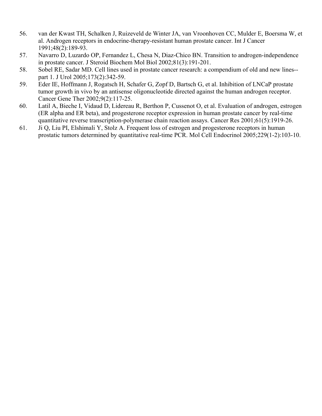- 56. van der Kwast TH, Schalken J, Ruizeveld de Winter JA, van Vroonhoven CC, Mulder E, Boersma W, et al. Androgen receptors in endocrine-therapy-resistant human prostate cancer. Int J Cancer 1991;48(2):189-93.
- 57. Navarro D, Luzardo OP, Fernandez L, Chesa N, Diaz-Chico BN. Transition to androgen-independence in prostate cancer. J Steroid Biochem Mol Biol 2002;81(3):191-201.
- 58. Sobel RE, Sadar MD. Cell lines used in prostate cancer research: a compendium of old and new lines- part 1. J Urol 2005;173(2):342-59.
- 59. Eder IE, Hoffmann J, Rogatsch H, Schafer G, Zopf D, Bartsch G, et al. Inhibition of LNCaP prostate tumor growth in vivo by an antisense oligonucleotide directed against the human androgen receptor. Cancer Gene Ther 2002;9(2):117-25.
- 60. Latil A, Bieche I, Vidaud D, Lidereau R, Berthon P, Cussenot O, et al. Evaluation of androgen, estrogen (ER alpha and ER beta), and progesterone receptor expression in human prostate cancer by real-time quantitative reverse transcription-polymerase chain reaction assays. Cancer Res 2001;61(5):1919-26.
- 61. Ji Q, Liu PI, Elshimali Y, Stolz A. Frequent loss of estrogen and progesterone receptors in human prostatic tumors determined by quantitative real-time PCR. Mol Cell Endocrinol 2005;229(1-2):103-10.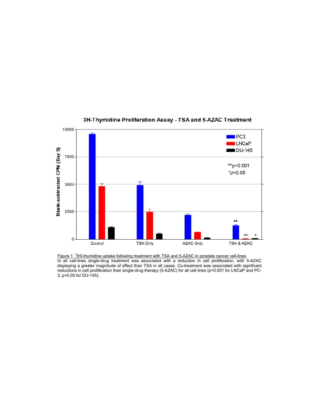

#### 3H-Thymidine Proliferation Assay - TSA and 5-AZAC Treatment

Figure 1 <sup>3</sup>[H]-thymidine uptake following treatment with TSA and 5-AZAC in prostate cancer cell-lines In all cell-lines single-drug treatment was associated with a reduction in cell proliferation, with 5-AZAC displaying a greater magnitude of effect than TSA in all cases. Co-treatment was associated with significant reductions in cell proliferation than single-drug therapy (5-AZAC) for all cell lines (p<0.001 for LNCaP and PC-3; p<0.05 for DU-145).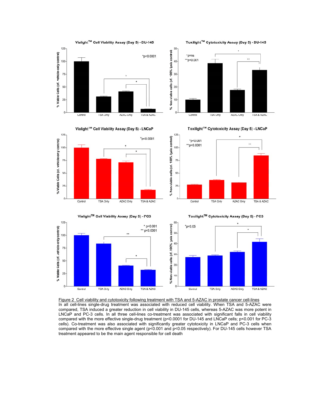



Vialight™ Cell Viability Assay (Day 5) - LNCaP





125

% Non-viable cells (cf. 100% lysis control)

25

Control

Figure 2 Cell viability and cytotoxicity following treatment with TSA and 5-AZAC in prostate cancer cell-lines In all cell-lines single-drug treatment was associated with reduced cell viability. When TSA and 5-AZAC were compared, TSA induced a greater reduction in cell viability in DU-145 cells, whereas 5-AZAC was more potent in LNCaP and PC-3 cells. In all three cell-lines co-treatment was associated with significant falls in cell viability compared with the more effective single-drug treatment (p<0.0001 for DU-145 and LNCaP cells; p<0.001 for PC-3 cells). Co-treatment was also associated with significantly greater cytotoxicity in LNCaP and PC-3 cells when compared with the more effective single agent (p<0.001 and p<0.05 respectively). For DU-145 cells however TSA treatment appeared to be the main agent responsible for cell death

Toxilight™ Cytotoxicity Assay (Day 5) - LNCaP



**TSA Only** 

AZAC Only

TSA & AZAC

 $"p<0.001$ 

Toxilight™ Cytotoxicity Assay (Day 5) - DU-145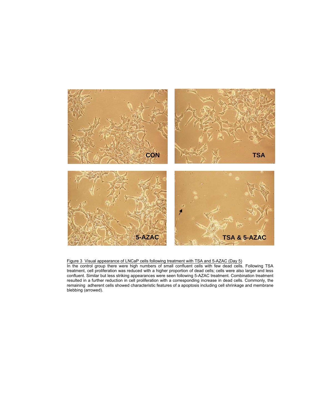

Figure 3 Visual appearance of LNCaP cells following treatment with TSA and 5-AZAC (Day 5) In the control group there were high numbers of small confluent cells with few dead cells. Following TSA treatment, cell proliferation was reduced with a higher proportion of dead cells; cells were also larger and less confluent. Similar but less striking appearances were seen following 5-AZAC treatment. Combination treatment resulted in a further reduction in cell proliferation with a corresponding increase in dead cells. Commonly, the remaining adherent cells showed characteristic features of a apoptosis including cell shrinkage and membrane blebbing (arrowed).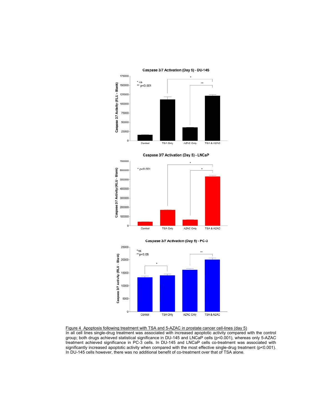

Caspase 3/7 Activation (Day 5) - LNCaP





Figure 4 Apoptosis following treatment with TSA and 5-AZAC in prostate cancer cell-lines (day 5) In all cell lines single-drug treatment was associated with increased apoptotic activity compared with the control group; both drugs achieved statistical significance in DU-145 and LNCaP cells (p<0.001), whereas only 5-AZAC treatment achieved significance in PC-3 cells. In DU-145 and LNCaP cells co-treatment was associated with significantly increased apoptotic activity when compared with the most effective single-drug treatment (p<0.001). In DU-145 cells however, there was no additional benefit of co-treatment over that of TSA alone.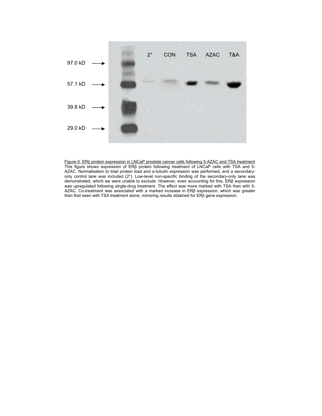